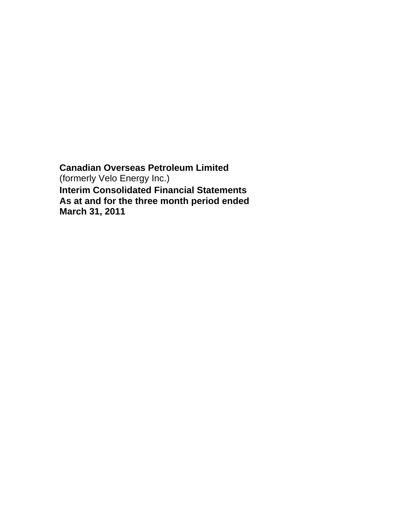**Canadian Overseas Petroleum Limited**  (formerly Velo Energy Inc.) **Interim Consolidated Financial Statements As at and for the three month period ended March 31, 2011**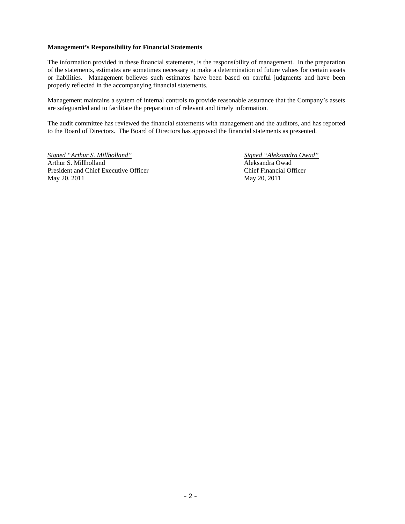#### **Management's Responsibility for Financial Statements**

The information provided in these financial statements, is the responsibility of management. In the preparation of the statements, estimates are sometimes necessary to make a determination of future values for certain assets or liabilities. Management believes such estimates have been based on careful judgments and have been properly reflected in the accompanying financial statements.

Management maintains a system of internal controls to provide reasonable assurance that the Company's assets are safeguarded and to facilitate the preparation of relevant and timely information.

The audit committee has reviewed the financial statements with management and the auditors, and has reported to the Board of Directors. The Board of Directors has approved the financial statements as presented.

*Signed "Arthur S. Millholland" Signed "Aleksandra Owad"* Arthur S. Millholland Aleksandra Owad President and Chief Executive Officer Chief Financial Officer May 20, 2011 May 20, 2011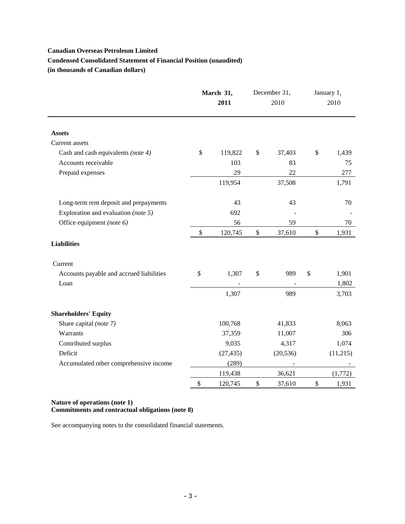# **Canadian Overseas Petroleum Limited Condensed Consolidated Statement of Financial Position (unaudited) (in thousands of Canadian dollars)**

|                                          | March 31,<br>2011 |           | December 31,<br>2010 |           | January 1,<br>2010 |
|------------------------------------------|-------------------|-----------|----------------------|-----------|--------------------|
| <b>Assets</b>                            |                   |           |                      |           |                    |
| Current assets                           |                   |           |                      |           |                    |
| Cash and cash equivalents (note 4)       | \$                | 119,822   | \$                   | 37,403    | \$<br>1,439        |
| Accounts receivable                      |                   | 103       |                      | 83        | 75                 |
| Prepaid expenses                         |                   | 29        |                      | 22        | 277                |
|                                          |                   | 119,954   |                      | 37,508    | 1,791              |
| Long-term rent deposit and prepayments   |                   | 43        |                      | 43        | 70                 |
| Exploration and evaluation (note 5)      |                   | 692       |                      |           |                    |
| Office equipment (note 6)                |                   | 56        |                      | 59        | 70                 |
|                                          | \$                | 120,745   | $\$$                 | 37,610    | \$<br>1,931        |
| <b>Liabilities</b>                       |                   |           |                      |           |                    |
| Current                                  |                   |           |                      |           |                    |
| Accounts payable and accrued liabilities | \$                | 1,307     | \$                   | 989       | \$<br>1,901        |
| Loan                                     |                   |           |                      |           | 1,802              |
|                                          |                   | 1,307     |                      | 989       | 3,703              |
| <b>Shareholders' Equity</b>              |                   |           |                      |           |                    |
| Share capital (note 7)                   |                   | 100,768   |                      | 41,833    | 8,063              |
| Warrants                                 |                   | 37,359    |                      | 11,007    | 306                |
| Contributed surplus                      |                   | 9,035     |                      | 4,317     | 1,074              |
| Deficit                                  |                   | (27, 435) |                      | (20, 536) | (11,215)           |
| Accumulated other comprehensive income   |                   | (289)     |                      |           |                    |
|                                          |                   | 119,438   |                      | 36,621    | (1,772)            |
|                                          | \$                | 120,745   | \$                   | 37,610    | \$<br>1,931        |

# **Nature of operations (note 1) Commitments and contractual obligations (note 8)**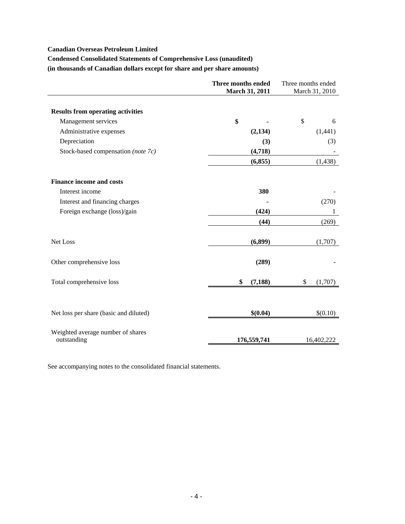### **Canadian Overseas Petroleum Limited**

# **Condensed Consolidated Statements of Comprehensive Loss (unaudited)**

**(in thousands of Canadian dollars except for share and per share amounts)** 

|                                                  | Three months ended<br><b>March 31, 2011</b> | Three months ended<br>March 31, 2010 |
|--------------------------------------------------|---------------------------------------------|--------------------------------------|
|                                                  |                                             |                                      |
| <b>Results from operating activities</b>         |                                             |                                      |
| Management services                              | \$                                          | \$<br>6                              |
| Administrative expenses                          | (2, 134)                                    | (1,441)                              |
| Depreciation                                     | (3)                                         | (3)                                  |
| Stock-based compensation (note 7c)               | (4,718)                                     |                                      |
|                                                  | (6, 855)                                    | (1, 438)                             |
| <b>Finance income and costs</b>                  |                                             |                                      |
| Interest income                                  | 380                                         |                                      |
| Interest and financing charges                   |                                             | (270)                                |
| Foreign exchange (loss)/gain                     | (424)                                       | 1                                    |
|                                                  | (44)                                        | (269)                                |
| Net Loss                                         | (6,899)                                     | (1,707)                              |
| Other comprehensive loss                         | (289)                                       |                                      |
| Total comprehensive loss                         | \$<br>(7, 188)                              | (1,707)<br>\$                        |
|                                                  |                                             |                                      |
| Net loss per share (basic and diluted)           | \$(0.04)                                    | \$(0.10)                             |
| Weighted average number of shares<br>outstanding | 176,559,741                                 | 16,402,222                           |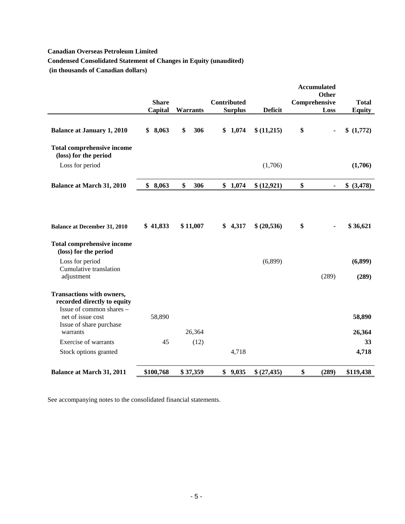# **Canadian Overseas Petroleum Limited**

# **Condensed Consolidated Statement of Changes in Equity (unaudited)**

 **(in thousands of Canadian dollars)** 

|                                                                                             |              |           |                    |                | <b>Accumulated</b> | Other |               |
|---------------------------------------------------------------------------------------------|--------------|-----------|--------------------|----------------|--------------------|-------|---------------|
|                                                                                             | <b>Share</b> |           | <b>Contributed</b> |                | Comprehensive      |       | <b>Total</b>  |
|                                                                                             | Capital      | Warrants  | <b>Surplus</b>     | <b>Deficit</b> |                    | Loss  | <b>Equity</b> |
| <b>Balance at January 1, 2010</b>                                                           | \$8,063      | 306<br>\$ | \$1,074            | \$(11,215)     | \$                 |       | \$(1,772)     |
| <b>Total comprehensive income</b><br>(loss) for the period                                  |              |           |                    |                |                    |       |               |
| Loss for period                                                                             |              |           |                    | (1,706)        |                    |       | (1,706)       |
| <b>Balance at March 31, 2010</b>                                                            | \$8,063      | \$<br>306 | \$<br>1,074        | \$(12,921)     | \$                 |       | \$ (3,478)    |
|                                                                                             |              |           |                    |                |                    |       |               |
| <b>Balance at December 31, 2010</b>                                                         | \$41,833     | \$11,007  | \$4,317            | \$ (20,536)    | \$                 |       | \$36,621      |
| <b>Total comprehensive income</b><br>(loss) for the period                                  |              |           |                    |                |                    |       |               |
| Loss for period                                                                             |              |           |                    | (6,899)        |                    |       | (6,899)       |
| Cumulative translation<br>adjustment                                                        |              |           |                    |                |                    | (289) | (289)         |
| <b>Transactions with owners,</b><br>recorded directly to equity<br>Issue of common shares - |              |           |                    |                |                    |       |               |
| net of issue cost<br>Issue of share purchase                                                | 58,890       |           |                    |                |                    |       | 58,890        |
| warrants                                                                                    |              | 26,364    |                    |                |                    |       | 26,364        |
| <b>Exercise of warrants</b>                                                                 | 45           | (12)      |                    |                |                    |       | 33            |
| Stock options granted                                                                       |              |           | 4,718              |                |                    |       | 4,718         |
| <b>Balance at March 31, 2011</b>                                                            | \$100,768    | \$37,359  | \$9,035            | \$(27,435)     | \$                 | (289) | \$119,438     |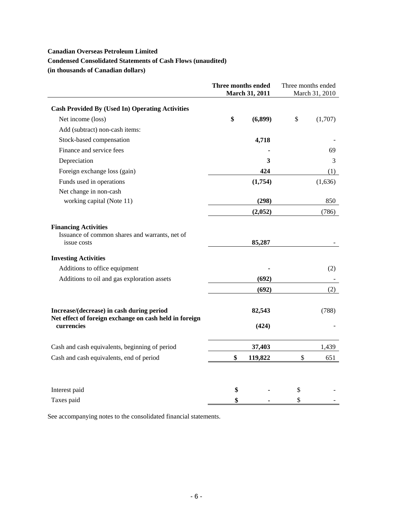### **Canadian Overseas Petroleum Limited**

# **Condensed Consolidated Statements of Cash Flows (unaudited)**

**(in thousands of Canadian dollars)** 

|                                                                                                     | Three months ended<br>March 31, 2011 |         | Three months ended<br>March 31, 2010 |         |
|-----------------------------------------------------------------------------------------------------|--------------------------------------|---------|--------------------------------------|---------|
| <b>Cash Provided By (Used In) Operating Activities</b>                                              |                                      |         |                                      |         |
| Net income (loss)                                                                                   | \$                                   | (6,899) | \$                                   | (1,707) |
| Add (subtract) non-cash items:                                                                      |                                      |         |                                      |         |
| Stock-based compensation                                                                            |                                      | 4,718   |                                      |         |
| Finance and service fees                                                                            |                                      |         |                                      | 69      |
| Depreciation                                                                                        |                                      | 3       |                                      | 3       |
| Foreign exchange loss (gain)                                                                        |                                      | 424     |                                      | (1)     |
| Funds used in operations                                                                            |                                      | (1,754) |                                      | (1,636) |
| Net change in non-cash                                                                              |                                      |         |                                      |         |
| working capital (Note 11)                                                                           |                                      | (298)   |                                      | 850     |
|                                                                                                     |                                      | (2,052) |                                      | (786)   |
| <b>Financing Activities</b><br>Issuance of common shares and warrants, net of<br>issue costs        |                                      | 85,287  |                                      |         |
| <b>Investing Activities</b>                                                                         |                                      |         |                                      |         |
| Additions to office equipment                                                                       |                                      |         |                                      | (2)     |
| Additions to oil and gas exploration assets                                                         |                                      | (692)   |                                      |         |
|                                                                                                     |                                      | (692)   |                                      | (2)     |
| Increase/(decrease) in cash during period<br>Net effect of foreign exchange on cash held in foreign |                                      | 82,543  |                                      | (788)   |
| currencies                                                                                          |                                      | (424)   |                                      |         |
| Cash and cash equivalents, beginning of period                                                      |                                      | 37,403  |                                      | 1,439   |
| Cash and cash equivalents, end of period                                                            | \$                                   | 119,822 | \$                                   | 651     |
|                                                                                                     |                                      |         |                                      |         |
| Interest paid                                                                                       | \$                                   |         | \$                                   |         |
| Taxes paid                                                                                          | \$                                   |         | \$                                   |         |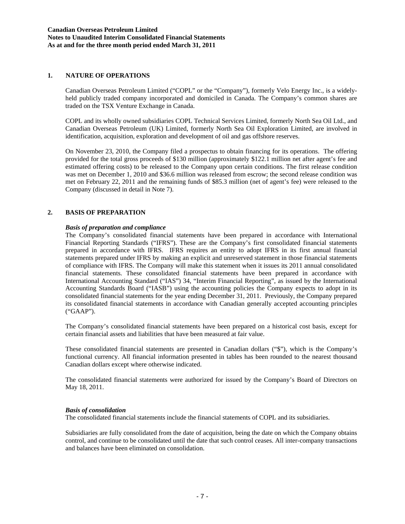#### **1. NATURE OF OPERATIONS**

Canadian Overseas Petroleum Limited ("COPL" or the "Company"), formerly Velo Energy Inc., is a widelyheld publicly traded company incorporated and domiciled in Canada. The Company's common shares are traded on the TSX Venture Exchange in Canada.

COPL and its wholly owned subsidiaries COPL Technical Services Limited, formerly North Sea Oil Ltd., and Canadian Overseas Petroleum (UK) Limited, formerly North Sea Oil Exploration Limited, are involved in identification, acquisition, exploration and development of oil and gas offshore reserves.

On November 23, 2010, the Company filed a prospectus to obtain financing for its operations. The offering provided for the total gross proceeds of \$130 million (approximately \$122.1 million net after agent's fee and estimated offering costs) to be released to the Company upon certain conditions. The first release condition was met on December 1, 2010 and \$36.6 million was released from escrow; the second release condition was met on February 22, 2011 and the remaining funds of \$85.3 million (net of agent's fee) were released to the Company (discussed in detail in Note 7).

# **2. BASIS OF PREPARATION**

### *Basis of preparation and compliance*

The Company's consolidated financial statements have been prepared in accordance with International Financial Reporting Standards ("IFRS"). These are the Company's first consolidated financial statements prepared in accordance with IFRS. IFRS requires an entity to adopt IFRS in its first annual financial statements prepared under IFRS by making an explicit and unreserved statement in those financial statements of compliance with IFRS. The Company will make this statement when it issues its 2011 annual consolidated financial statements. These consolidated financial statements have been prepared in accordance with International Accounting Standard ("IAS") 34, "Interim Financial Reporting", as issued by the International Accounting Standards Board ("IASB") using the accounting policies the Company expects to adopt in its consolidated financial statements for the year ending December 31, 2011. Previously, the Company prepared its consolidated financial statements in accordance with Canadian generally accepted accounting principles ("GAAP").

The Company's consolidated financial statements have been prepared on a historical cost basis, except for certain financial assets and liabilities that have been measured at fair value.

These consolidated financial statements are presented in Canadian dollars ("\$"), which is the Company's functional currency. All financial information presented in tables has been rounded to the nearest thousand Canadian dollars except where otherwise indicated.

The consolidated financial statements were authorized for issued by the Company's Board of Directors on May 18, 2011.

### *Basis of consolidation*

The consolidated financial statements include the financial statements of COPL and its subsidiaries.

Subsidiaries are fully consolidated from the date of acquisition, being the date on which the Company obtains control, and continue to be consolidated until the date that such control ceases. All inter-company transactions and balances have been eliminated on consolidation.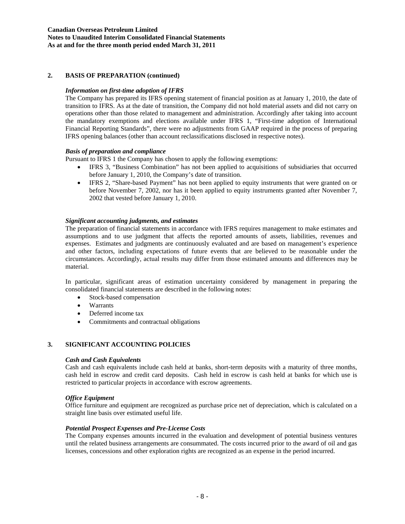### **Canadian Overseas Petroleum Limited Notes to Unaudited Interim Consolidated Financial Statements As at and for the three month period ended March 31, 2011**

### **2. BASIS OF PREPARATION (continued)**

### *Information on first-time adoption of IFRS*

The Company has prepared its IFRS opening statement of financial position as at January 1, 2010, the date of transition to IFRS. As at the date of transition, the Company did not hold material assets and did not carry on operations other than those related to management and administration. Accordingly after taking into account the mandatory exemptions and elections available under IFRS 1, "First-time adoption of International Financial Reporting Standards", there were no adjustments from GAAP required in the process of preparing IFRS opening balances (other than account reclassifications disclosed in respective notes).

#### *Basis of preparation and compliance*

Pursuant to IFRS 1 the Company has chosen to apply the following exemptions:

- IFRS 3, "Business Combination" has not been applied to acquisitions of subsidiaries that occurred before January 1, 2010, the Company's date of transition.
- IFRS 2, "Share-based Payment" has not been applied to equity instruments that were granted on or before November 7, 2002, nor has it been applied to equity instruments granted after November 7, 2002 that vested before January 1, 2010.

#### *Significant accounting judgments, and estimates*

The preparation of financial statements in accordance with IFRS requires management to make estimates and assumptions and to use judgment that affects the reported amounts of assets, liabilities, revenues and expenses. Estimates and judgments are continuously evaluated and are based on management's experience and other factors, including expectations of future events that are believed to be reasonable under the circumstances. Accordingly, actual results may differ from those estimated amounts and differences may be material.

In particular, significant areas of estimation uncertainty considered by management in preparing the consolidated financial statements are described in the following notes:

- Stock-based compensation
- Warrants
- Deferred income tax
- Commitments and contractual obligations

### **3. SIGNIFICANT ACCOUNTING POLICIES**

#### *Cash and Cash Equivalents*

Cash and cash equivalents include cash held at banks, short-term deposits with a maturity of three months, cash held in escrow and credit card deposits. Cash held in escrow is cash held at banks for which use is restricted to particular projects in accordance with escrow agreements.

#### *Office Equipment*

Office furniture and equipment are recognized as purchase price net of depreciation, which is calculated on a straight line basis over estimated useful life.

#### *Potential Prospect Expenses and Pre-License Costs*

The Company expenses amounts incurred in the evaluation and development of potential business ventures until the related business arrangements are consummated. The costs incurred prior to the award of oil and gas licenses, concessions and other exploration rights are recognized as an expense in the period incurred.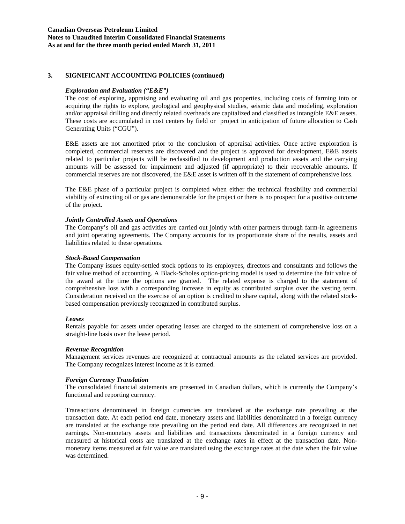### **Canadian Overseas Petroleum Limited Notes to Unaudited Interim Consolidated Financial Statements As at and for the three month period ended March 31, 2011**

### **3. SIGNIFICANT ACCOUNTING POLICIES (continued)**

### *Exploration and Evaluation ("E&E")*

The cost of exploring, appraising and evaluating oil and gas properties, including costs of farming into or acquiring the rights to explore, geological and geophysical studies, seismic data and modeling, exploration and/or appraisal drilling and directly related overheads are capitalized and classified as intangible E&E assets. These costs are accumulated in cost centers by field or project in anticipation of future allocation to Cash Generating Units ("CGU").

E&E assets are not amortized prior to the conclusion of appraisal activities. Once active exploration is completed, commercial reserves are discovered and the project is approved for development, E&E assets related to particular projects will be reclassified to development and production assets and the carrying amounts will be assessed for impairment and adjusted (if appropriate) to their recoverable amounts. If commercial reserves are not discovered, the E&E asset is written off in the statement of comprehensive loss.

The E&E phase of a particular project is completed when either the technical feasibility and commercial viability of extracting oil or gas are demonstrable for the project or there is no prospect for a positive outcome of the project.

### *Jointly Controlled Assets and Operations*

The Company's oil and gas activities are carried out jointly with other partners through farm-in agreements and joint operating agreements. The Company accounts for its proportionate share of the results, assets and liabilities related to these operations.

### *Stock-Based Compensation*

The Company issues equity-settled stock options to its employees, directors and consultants and follows the fair value method of accounting. A Black-Scholes option-pricing model is used to determine the fair value of the award at the time the options are granted. The related expense is charged to the statement of comprehensive loss with a corresponding increase in equity as contributed surplus over the vesting term. Consideration received on the exercise of an option is credited to share capital, along with the related stockbased compensation previously recognized in contributed surplus.

### *Leases*

Rentals payable for assets under operating leases are charged to the statement of comprehensive loss on a straight-line basis over the lease period.

### *Revenue Recognition*

Management services revenues are recognized at contractual amounts as the related services are provided. The Company recognizes interest income as it is earned.

# *Foreign Currency Translation*

The consolidated financial statements are presented in Canadian dollars, which is currently the Company's functional and reporting currency.

Transactions denominated in foreign currencies are translated at the exchange rate prevailing at the transaction date. At each period end date, monetary assets and liabilities denominated in a foreign currency are translated at the exchange rate prevailing on the period end date. All differences are recognized in net earnings. Non-monetary assets and liabilities and transactions denominated in a foreign currency and measured at historical costs are translated at the exchange rates in effect at the transaction date. Nonmonetary items measured at fair value are translated using the exchange rates at the date when the fair value was determined.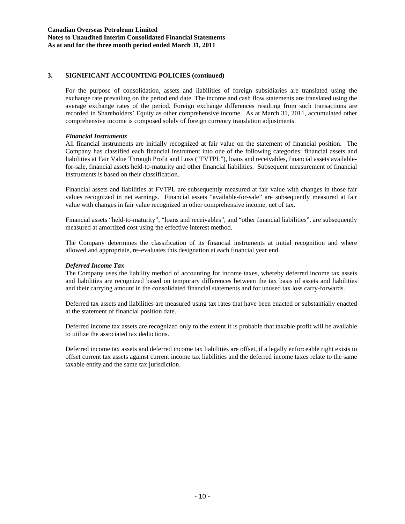### **Canadian Overseas Petroleum Limited Notes to Unaudited Interim Consolidated Financial Statements As at and for the three month period ended March 31, 2011**

# **3. SIGNIFICANT ACCOUNTING POLICIES (continued)**

For the purpose of consolidation, assets and liabilities of foreign subsidiaries are translated using the exchange rate prevailing on the period end date. The income and cash flow statements are translated using the average exchange rates of the period. Foreign exchange differences resulting from such transactions are recorded in Shareholders' Equity as other comprehensive income. As at March 31, 2011, accumulated other comprehensive income is composed solely of foreign currency translation adjustments.

### *Financial Instruments*

All financial instruments are initially recognized at fair value on the statement of financial position. The Company has classified each financial instrument into one of the following categories: financial assets and liabilities at Fair Value Through Profit and Loss ("FVTPL"), loans and receivables, financial assets availablefor-sale, financial assets held-to-maturity and other financial liabilities. Subsequent measurement of financial instruments is based on their classification.

Financial assets and liabilities at FVTPL are subsequently measured at fair value with changes in those fair values recognized in net earnings. Financial assets "available-for-sale" are subsequently measured at fair value with changes in fair value recognized in other comprehensive income, net of tax.

Financial assets "held-to-maturity", "loans and receivables", and "other financial liabilities", are subsequently measured at amortized cost using the effective interest method.

The Company determines the classification of its financial instruments at initial recognition and where allowed and appropriate, re–evaluates this designation at each financial year end.

### *Deferred Income Tax*

The Company uses the liability method of accounting for income taxes, whereby deferred income tax assets and liabilities are recognized based on temporary differences between the tax basis of assets and liabilities and their carrying amount in the consolidated financial statements and for unused tax loss carry-forwards.

Deferred tax assets and liabilities are measured using tax rates that have been enacted or substantially enacted at the statement of financial position date.

Deferred income tax assets are recognized only to the extent it is probable that taxable profit will be available to utilize the associated tax deductions.

Deferred income tax assets and deferred income tax liabilities are offset, if a legally enforceable right exists to offset current tax assets against current income tax liabilities and the deferred income taxes relate to the same taxable entity and the same tax jurisdiction.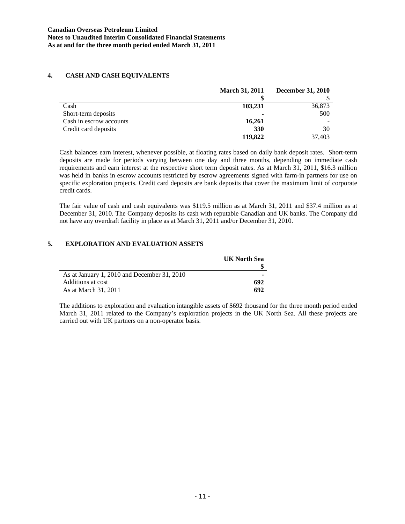# **4. CASH AND CASH EQUIVALENTS**

|                         | <b>March 31, 2011</b> | <b>December 31, 2010</b> |
|-------------------------|-----------------------|--------------------------|
|                         |                       |                          |
| Cash                    | 103,231               | 36,873                   |
| Short-term deposits     |                       | 500                      |
| Cash in escrow accounts | 16,261                |                          |
| Credit card deposits    | 330                   | 30                       |
|                         | 119,822               | 37.403                   |

Cash balances earn interest, whenever possible, at floating rates based on daily bank deposit rates. Short-term deposits are made for periods varying between one day and three months, depending on immediate cash requirements and earn interest at the respective short term deposit rates. As at March 31, 2011, \$16.3 million was held in banks in escrow accounts restricted by escrow agreements signed with farm-in partners for use on specific exploration projects. Credit card deposits are bank deposits that cover the maximum limit of corporate credit cards.

The fair value of cash and cash equivalents was \$119.5 million as at March 31, 2011 and \$37.4 million as at December 31, 2010. The Company deposits its cash with reputable Canadian and UK banks. The Company did not have any overdraft facility in place as at March 31, 2011 and/or December 31, 2010.

# **5. EXPLORATION AND EVALUATION ASSETS**

|                                             | <b>UK North Sea</b> |
|---------------------------------------------|---------------------|
|                                             |                     |
| As at January 1, 2010 and December 31, 2010 |                     |
| Additions at cost                           | 692                 |
| As at March 31, 2011                        | 692                 |

The additions to exploration and evaluation intangible assets of \$692 thousand for the three month period ended March 31, 2011 related to the Company's exploration projects in the UK North Sea. All these projects are carried out with UK partners on a non-operator basis.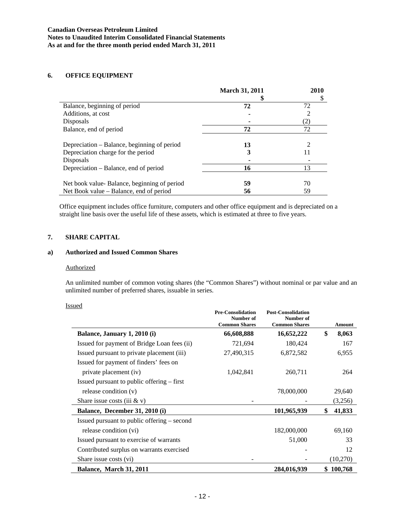### **6. OFFICE EQUIPMENT**

|                                             | <b>March 31, 2011</b> | 2010 |
|---------------------------------------------|-----------------------|------|
|                                             |                       |      |
| Balance, beginning of period                | 72                    | 72   |
| Additions, at cost                          |                       |      |
| Disposals                                   |                       | (2)  |
| Balance, end of period                      | 72                    | 72   |
| Depreciation – Balance, beginning of period | 13                    |      |
| Depreciation charge for the period          | 3                     | 11   |
| Disposals                                   |                       |      |
| Depreciation – Balance, end of period       | 16                    | 13   |
|                                             |                       |      |
| Net book value-Balance, beginning of period | 59                    | 70   |
| Net Book value – Balance, end of period     | 56                    | 59   |

Office equipment includes office furniture, computers and other office equipment and is depreciated on a straight line basis over the useful life of these assets, which is estimated at three to five years.

# **7. SHARE CAPITAL**

# **a) Authorized and Issued Common Shares**

#### **Authorized**

An unlimited number of common voting shares (the "Common Shares") without nominal or par value and an unlimited number of preferred shares, issuable in series.

### Issued

|                                              | <b>Pre-Consolidation</b><br>Number of<br><b>Common Shares</b> | <b>Post-Consolidation</b><br>Number of<br><b>Common Shares</b> | <b>Amount</b> |
|----------------------------------------------|---------------------------------------------------------------|----------------------------------------------------------------|---------------|
| Balance, January 1, 2010 (i)                 | 66,608,888                                                    | 16,652,222                                                     | \$<br>8,063   |
| Issued for payment of Bridge Loan fees (ii)  | 721,694                                                       | 180,424                                                        | 167           |
| Issued pursuant to private placement (iii)   | 27,490,315                                                    | 6,872,582                                                      | 6,955         |
| Issued for payment of finders' fees on       |                                                               |                                                                |               |
| private placement (iv)                       | 1,042,841                                                     | 260,711                                                        | 264           |
| Issued pursuant to public offering $-$ first |                                                               |                                                                |               |
| release condition (v)                        |                                                               | 78,000,000                                                     | 29,640        |
| Share issue costs (iii $&\mathbf{v})$        |                                                               |                                                                | (3,256)       |
| Balance, December 31, 2010 (i)               |                                                               | 101,965,939                                                    | \$<br>41,833  |
| Issued pursuant to public offering – second  |                                                               |                                                                |               |
| release condition (vi)                       |                                                               | 182,000,000                                                    | 69,160        |
| Issued pursuant to exercise of warrants      |                                                               | 51,000                                                         | 33            |
| Contributed surplus on warrants exercised    |                                                               |                                                                | 12            |
| Share issue costs (vi)                       |                                                               |                                                                | (10,270)      |
| Balance, March 31, 2011                      |                                                               | 284,016,939                                                    | \$100,768     |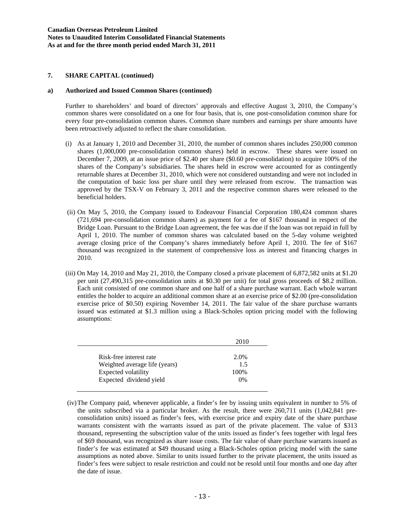#### **a) Authorized and Issued Common Shares (continued)**

Further to shareholders' and board of directors' approvals and effective August 3, 2010, the Company's common shares were consolidated on a one for four basis, that is, one post-consolidation common share for every four pre-consolidation common shares. Common share numbers and earnings per share amounts have been retroactively adjusted to reflect the share consolidation.

- (i) As at January 1, 2010 and December 31, 2010, the number of common shares includes 250,000 common shares (1,000,000 pre-consolidation common shares) held in escrow. These shares were issued on December 7, 2009, at an issue price of \$2.40 per share (\$0.60 pre-consolidation) to acquire 100% of the shares of the Company's subsidiaries. The shares held in escrow were accounted for as contingently returnable shares at December 31, 2010, which were not considered outstanding and were not included in the computation of basic loss per share until they were released from escrow. The transaction was approved by the TSX-V on February 3, 2011 and the respective common shares were released to the beneficial holders.
- (ii) On May 5, 2010, the Company issued to Endeavour Financial Corporation 180,424 common shares (721,694 pre-consolidation common shares) as payment for a fee of \$167 thousand in respect of the Bridge Loan. Pursuant to the Bridge Loan agreement, the fee was due if the loan was not repaid in full by April 1, 2010. The number of common shares was calculated based on the 5-day volume weighted average closing price of the Company's shares immediately before April 1, 2010. The fee of \$167 thousand was recognized in the statement of comprehensive loss as interest and financing charges in 2010.
- (iii) On May 14, 2010 and May 21, 2010, the Company closed a private placement of 6,872,582 units at \$1.20 per unit (27,490,315 pre-consolidation units at \$0.30 per unit) for total gross proceeds of \$8.2 million. Each unit consisted of one common share and one half of a share purchase warrant. Each whole warrant entitles the holder to acquire an additional common share at an exercise price of \$2.00 (pre-consolidation exercise price of \$0.50) expiring November 14, 2011. The fair value of the share purchase warrants issued was estimated at \$1.3 million using a Black-Scholes option pricing model with the following assumptions:

|                               | 2010  |
|-------------------------------|-------|
|                               |       |
| Risk-free interest rate       | 2.0%  |
| Weighted average life (years) | 1.5   |
| Expected volatility           | 100\% |
| Expected dividend yield       | 0%    |

 <sup>(</sup>iv) The Company paid, whenever applicable, a finder's fee by issuing units equivalent in number to 5% of the units subscribed via a particular broker. As the result, there were 260,711 units (1,042,841 preconsolidation units) issued as finder's fees, with exercise price and expiry date of the share purchase warrants consistent with the warrants issued as part of the private placement. The value of \$313 thousand, representing the subscription value of the units issued as finder's fees together with legal fees of \$69 thousand, was recognized as share issue costs. The fair value of share purchase warrants issued as finder's fee was estimated at \$49 thousand using a Black-Scholes option pricing model with the same assumptions as noted above. Similar to units issued further to the private placement, the units issued as finder's fees were subject to resale restriction and could not be resold until four months and one day after the date of issue.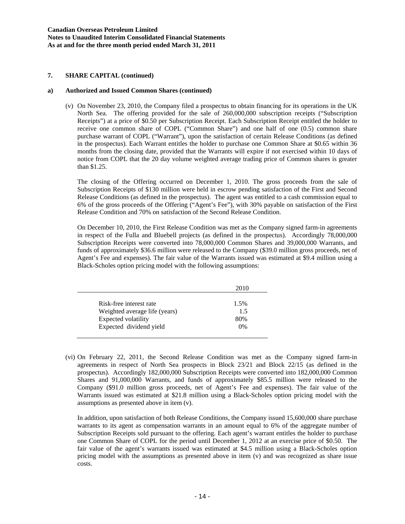#### **a) Authorized and Issued Common Shares (continued)**

(v) On November 23, 2010, the Company filed a prospectus to obtain financing for its operations in the UK North Sea. The offering provided for the sale of 260,000,000 subscription receipts ("Subscription Receipts") at a price of \$0.50 per Subscription Receipt. Each Subscription Receipt entitled the holder to receive one common share of COPL ("Common Share") and one half of one (0.5) common share purchase warrant of COPL ("Warrant"), upon the satisfaction of certain Release Conditions (as defined in the prospectus). Each Warrant entitles the holder to purchase one Common Share at \$0.65 within 36 months from the closing date, provided that the Warrants will expire if not exercised within 10 days of notice from COPL that the 20 day volume weighted average trading price of Common shares is greater than \$1.25.

The closing of the Offering occurred on December 1, 2010. The gross proceeds from the sale of Subscription Receipts of \$130 million were held in escrow pending satisfaction of the First and Second Release Conditions (as defined in the prospectus). The agent was entitled to a cash commission equal to 6% of the gross proceeds of the Offering ("Agent's Fee"), with 30% payable on satisfaction of the First Release Condition and 70% on satisfaction of the Second Release Condition.

On December 10, 2010, the First Release Condition was met as the Company signed farm-in agreements in respect of the Fulla and Bluebell projects (as defined in the prospectus). Accordingly 78,000,000 Subscription Receipts were converted into 78,000,000 Common Shares and 39,000,000 Warrants, and funds of approximately \$36.6 million were released to the Company (\$39.0 million gross proceeds, net of Agent's Fee and expenses). The fair value of the Warrants issued was estimated at \$9.4 million using a Black-Scholes option pricing model with the following assumptions:

|                               | 2010 |
|-------------------------------|------|
|                               |      |
| Risk-free interest rate       | 1.5% |
| Weighted average life (years) | 1.5  |
| Expected volatility           | 80%  |
| Expected dividend yield       | 0%   |

(vi) On February 22, 2011, the Second Release Condition was met as the Company signed farm-in agreements in respect of North Sea prospects in Block 23/21 and Block 22/15 (as defined in the prospectus). Accordingly 182,000,000 Subscription Receipts were converted into 182,000,000 Common Shares and 91,000,000 Warrants, and funds of approximately \$85.5 million were released to the Company (\$91.0 million gross proceeds, net of Agent's Fee and expenses). The fair value of the Warrants issued was estimated at \$21.8 million using a Black-Scholes option pricing model with the assumptions as presented above in item (v).

In addition, upon satisfaction of both Release Conditions, the Company issued 15,600,000 share purchase warrants to its agent as compensation warrants in an amount equal to 6% of the aggregate number of Subscription Receipts sold pursuant to the offering. Each agent's warrant entitles the holder to purchase one Common Share of COPL for the period until December 1, 2012 at an exercise price of \$0.50. The fair value of the agent's warrants issued was estimated at \$4.5 million using a Black-Scholes option pricing model with the assumptions as presented above in item (v) and was recognized as share issue costs.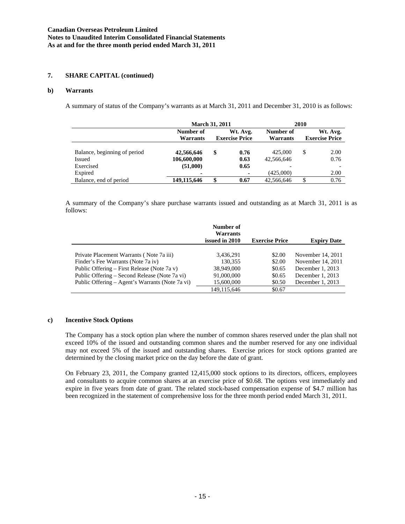### **b) Warrants**

A summary of status of the Company's warrants as at March 31, 2011 and December 31, 2010 is as follows:

|                              | <b>March 31, 2011</b> |    |                       | 2010       |    |                       |
|------------------------------|-----------------------|----|-----------------------|------------|----|-----------------------|
|                              | Number of             |    | Wt. Avg.              | Number of  |    | Wt. Avg.              |
|                              | Warrants              |    | <b>Exercise Price</b> | Warrants   |    | <b>Exercise Price</b> |
|                              |                       |    |                       |            |    |                       |
| Balance, beginning of period | 42,566,646            | \$ | 0.76                  | 425,000    | \$ | 2.00                  |
| Issued                       | 106,600,000           |    | 0.63                  | 42,566,646 |    | 0.76                  |
| Exercised                    | (51,000)              |    | 0.65                  |            |    |                       |
| Expired                      |                       |    | ۰                     | (425,000)  |    | 2.00                  |
| Balance, end of period       | 149,115,646           | \$ | 0.67                  | 42.566.646 | \$ | 0.76                  |

A summary of the Company's share purchase warrants issued and outstanding as at March 31, 2011 is as follows:

|                                                 | Number of<br>Warrants<br>issued in 2010 | <b>Exercise Price</b> | <b>Expiry Date</b> |
|-------------------------------------------------|-----------------------------------------|-----------------------|--------------------|
|                                                 |                                         |                       |                    |
| Private Placement Warrants (Note 7a iii)        | 3,436,291                               | \$2.00                | November 14, 2011  |
| Finder's Fee Warrants (Note 7a iv)              | 130.355                                 | \$2.00                | November 14, 2011  |
| Public Offering – First Release (Note 7a v)     | 38,949,000                              | \$0.65                | December 1, 2013   |
| Public Offering – Second Release (Note 7a vi)   | 91,000,000                              | \$0.65                | December 1, 2013   |
| Public Offering – Agent's Warrants (Note 7a vi) | 15,600,000                              | \$0.50                | December 1, 2013   |
|                                                 | 149.115.646                             | \$0.67                |                    |

#### **c) Incentive Stock Options**

The Company has a stock option plan where the number of common shares reserved under the plan shall not exceed 10% of the issued and outstanding common shares and the number reserved for any one individual may not exceed 5% of the issued and outstanding shares. Exercise prices for stock options granted are determined by the closing market price on the day before the date of grant.

On February 23, 2011, the Company granted 12,415,000 stock options to its directors, officers, employees and consultants to acquire common shares at an exercise price of \$0.68. The options vest immediately and expire in five years from date of grant. The related stock-based compensation expense of \$4.7 million has been recognized in the statement of comprehensive loss for the three month period ended March 31, 2011.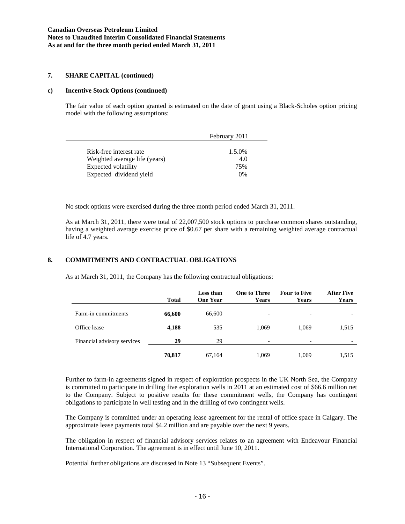#### **c) Incentive Stock Options (continued)**

The fair value of each option granted is estimated on the date of grant using a Black-Scholes option pricing model with the following assumptions:

|                               | February 2011 |
|-------------------------------|---------------|
| Risk-free interest rate       | 1.5.0%        |
| Weighted average life (years) | 4.0           |
| Expected volatility           | 75%           |
| Expected dividend yield       | $0\%$         |

No stock options were exercised during the three month period ended March 31, 2011.

As at March 31, 2011, there were total of 22,007,500 stock options to purchase common shares outstanding, having a weighted average exercise price of \$0.67 per share with a remaining weighted average contractual life of 4.7 years.

#### **8. COMMITMENTS AND CONTRACTUAL OBLIGATIONS**

As at March 31, 2011, the Company has the following contractual obligations:

|                             | <b>Total</b> | Less than<br><b>One Year</b> | <b>One to Three</b><br><b>Years</b> | <b>Four to Five</b><br>Years | <b>After Five</b><br><b>Years</b> |
|-----------------------------|--------------|------------------------------|-------------------------------------|------------------------------|-----------------------------------|
| Farm-in commitments         | 66,600       | 66,600                       |                                     | $\overline{\phantom{0}}$     |                                   |
| Office lease                | 4,188        | 535                          | 1.069                               | 1,069                        | 1,515                             |
| Financial advisory services | 29           | 29                           |                                     | $\overline{\phantom{0}}$     |                                   |
|                             | 70,817       | 67,164                       | 1,069                               | 1,069                        | 1,515                             |

Further to farm-in agreements signed in respect of exploration prospects in the UK North Sea, the Company is committed to participate in drilling five exploration wells in 2011 at an estimated cost of \$66.6 million net to the Company. Subject to positive results for these commitment wells, the Company has contingent obligations to participate in well testing and in the drilling of two contingent wells.

The Company is committed under an operating lease agreement for the rental of office space in Calgary. The approximate lease payments total \$4.2 million and are payable over the next 9 years.

The obligation in respect of financial advisory services relates to an agreement with Endeavour Financial International Corporation. The agreement is in effect until June 10, 2011.

Potential further obligations are discussed in Note 13 "Subsequent Events".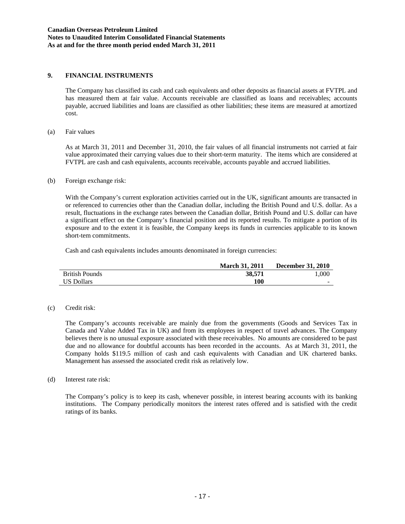### **9. FINANCIAL INSTRUMENTS**

The Company has classified its cash and cash equivalents and other deposits as financial assets at FVTPL and has measured them at fair value. Accounts receivable are classified as loans and receivables; accounts payable, accrued liabilities and loans are classified as other liabilities; these items are measured at amortized cost.

(a) Fair values

As at March 31, 2011 and December 31, 2010, the fair values of all financial instruments not carried at fair value approximated their carrying values due to their short-term maturity. The items which are considered at FVTPL are cash and cash equivalents, accounts receivable, accounts payable and accrued liabilities.

(b) Foreign exchange risk:

With the Company's current exploration activities carried out in the UK, significant amounts are transacted in or referenced to currencies other than the Canadian dollar, including the British Pound and U.S. dollar. As a result, fluctuations in the exchange rates between the Canadian dollar, British Pound and U.S. dollar can have a significant effect on the Company's financial position and its reported results. To mitigate a portion of its exposure and to the extent it is feasible, the Company keeps its funds in currencies applicable to its known short-tem commitments.

Cash and cash equivalents includes amounts denominated in foreign currencies:

|                       | <b>March 31, 2011</b> | <b>December 31, 2010</b> |
|-----------------------|-----------------------|--------------------------|
| <b>British Pounds</b> | 38.571                | 1.000                    |
| <b>US Dollars</b>     | 100                   | $\sim$                   |

(c) Credit risk:

The Company's accounts receivable are mainly due from the governments (Goods and Services Tax in Canada and Value Added Tax in UK) and from its employees in respect of travel advances. The Company believes there is no unusual exposure associated with these receivables. No amounts are considered to be past due and no allowance for doubtful accounts has been recorded in the accounts. As at March 31, 2011, the Company holds \$119.5 million of cash and cash equivalents with Canadian and UK chartered banks. Management has assessed the associated credit risk as relatively low.

(d) Interest rate risk:

The Company's policy is to keep its cash, whenever possible, in interest bearing accounts with its banking institutions. The Company periodically monitors the interest rates offered and is satisfied with the credit ratings of its banks.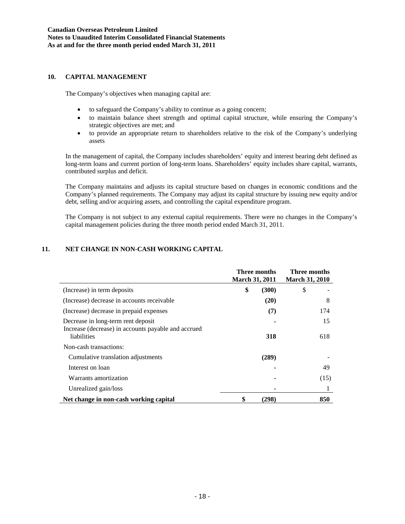### **10. CAPITAL MANAGEMENT**

The Company's objectives when managing capital are:

- to safeguard the Company's ability to continue as a going concern;
- to maintain balance sheet strength and optimal capital structure, while ensuring the Company's strategic objectives are met; and
- to provide an appropriate return to shareholders relative to the risk of the Company's underlying assets

In the management of capital, the Company includes shareholders' equity and interest bearing debt defined as long-term loans and current portion of long-term loans. Shareholders' equity includes share capital, warrants, contributed surplus and deficit.

The Company maintains and adjusts its capital structure based on changes in economic conditions and the Company's planned requirements. The Company may adjust its capital structure by issuing new equity and/or debt, selling and/or acquiring assets, and controlling the capital expenditure program.

The Company is not subject to any external capital requirements. There were no changes in the Company's capital management policies during the three month period ended March 31, 2011.

# **11. NET CHANGE IN NON-CASH WORKING CAPITAL**

|                                                                                           | Three months<br><b>March 31, 2011</b> |       | Three months<br><b>March 31, 2010</b> |      |
|-------------------------------------------------------------------------------------------|---------------------------------------|-------|---------------------------------------|------|
| (Increase) in term deposits                                                               | \$                                    | (300) | \$                                    |      |
| (Increase) decrease in accounts receivable                                                |                                       | (20)  |                                       | 8    |
| (Increase) decrease in prepaid expenses                                                   |                                       | (7)   |                                       | 174  |
| Decrease in long-term rent deposit<br>Increase (decrease) in accounts payable and accrued |                                       |       |                                       | 15   |
| liabilities<br>Non-cash transactions:                                                     |                                       | 318   |                                       | 618  |
| Cumulative translation adjustments                                                        |                                       | (289) |                                       |      |
| Interest on loan                                                                          |                                       |       |                                       | 49   |
| Warrants amortization                                                                     |                                       |       |                                       | (15) |
| Unrealized gain/loss                                                                      |                                       |       |                                       |      |
| Net change in non-cash working capital                                                    | \$                                    | (298) |                                       | 850  |